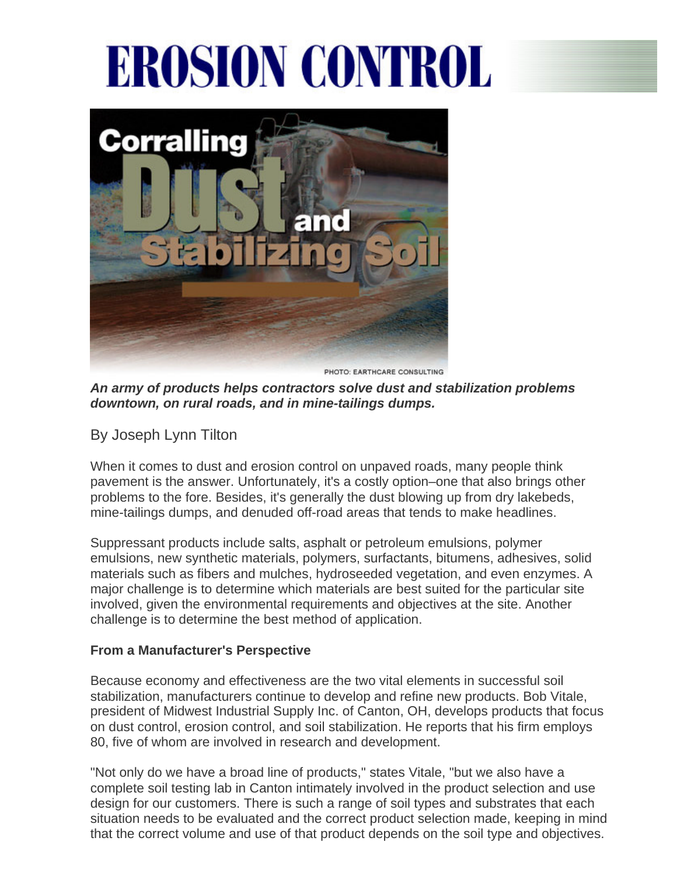## **EROSION CONTROL**



PHOTO: EARTHCARE CONSULTING

*An army of products helps contractors solve dust and stabilization problems downtown, on rural roads, and in mine-tailings dumps.*

By Joseph Lynn Tilton

When it comes to dust and erosion control on unpaved roads, many people think pavement is the answer. Unfortunately, it's a costly option–one that also brings other problems to the fore. Besides, it's generally the dust blowing up from dry lakebeds, mine-tailings dumps, and denuded off-road areas that tends to make headlines.

Suppressant products include salts, asphalt or petroleum emulsions, polymer emulsions, new synthetic materials, polymers, surfactants, bitumens, adhesives, solid materials such as fibers and mulches, hydroseeded vegetation, and even enzymes. A major challenge is to determine which materials are best suited for the particular site involved, given the environmental requirements and objectives at the site. Another challenge is to determine the best method of application.

## **From a Manufacturer's Perspective**

Because economy and effectiveness are the two vital elements in successful soil stabilization, manufacturers continue to develop and refine new products. Bob Vitale, president of Midwest Industrial Supply Inc. of Canton, OH, develops products that focus on dust control, erosion control, and soil stabilization. He reports that his firm employs 80, five of whom are involved in research and development.

"Not only do we have a broad line of products," states Vitale, "but we also have a complete soil testing lab in Canton intimately involved in the product selection and use design for our customers. There is such a range of soil types and substrates that each situation needs to be evaluated and the correct product selection made, keeping in mind that the correct volume and use of that product depends on the soil type and objectives.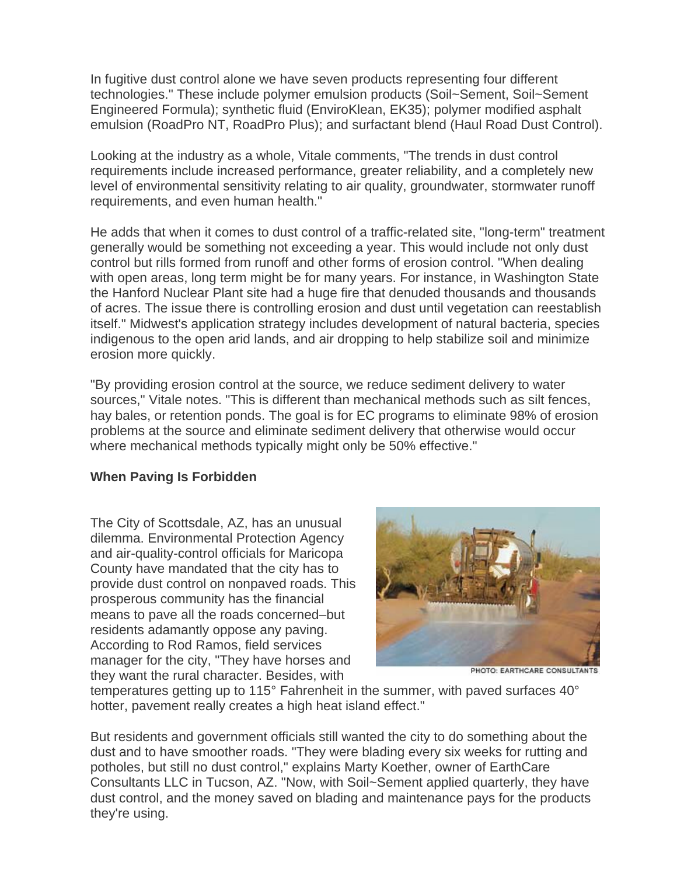In fugitive dust control alone we have seven products representing four different technologies." These include polymer emulsion products (Soil~Sement, Soil~Sement Engineered Formula); synthetic fluid (EnviroKlean, EK35); polymer modified asphalt emulsion (RoadPro NT, RoadPro Plus); and surfactant blend (Haul Road Dust Control).

Looking at the industry as a whole, Vitale comments, "The trends in dust control requirements include increased performance, greater reliability, and a completely new level of environmental sensitivity relating to air quality, groundwater, stormwater runoff requirements, and even human health."

He adds that when it comes to dust control of a traffic-related site, "long-term" treatment generally would be something not exceeding a year. This would include not only dust control but rills formed from runoff and other forms of erosion control. "When dealing with open areas, long term might be for many years. For instance, in Washington State the Hanford Nuclear Plant site had a huge fire that denuded thousands and thousands of acres. The issue there is controlling erosion and dust until vegetation can reestablish itself." Midwest's application strategy includes development of natural bacteria, species indigenous to the open arid lands, and air dropping to help stabilize soil and minimize erosion more quickly.

"By providing erosion control at the source, we reduce sediment delivery to water sources," Vitale notes. "This is different than mechanical methods such as silt fences, hay bales, or retention ponds. The goal is for EC programs to eliminate 98% of erosion problems at the source and eliminate sediment delivery that otherwise would occur where mechanical methods typically might only be 50% effective."

## **When Paving Is Forbidden**

The City of Scottsdale, AZ, has an unusual dilemma. Environmental Protection Agency and air-quality-control officials for Maricopa County have mandated that the city has to provide dust control on nonpaved roads. This prosperous community has the financial means to pave all the roads concerned–but residents adamantly oppose any paving. According to Rod Ramos, field services manager for the city, "They have horses and they want the rural character. Besides, with



PHOTO: EARTHCARE CONSULTANTS

temperatures getting up to 115° Fahrenheit in the summer, with paved surfaces 40° hotter, pavement really creates a high heat island effect."

But residents and government officials still wanted the city to do something about the dust and to have smoother roads. "They were blading every six weeks for rutting and potholes, but still no dust control," explains Marty Koether, owner of EarthCare Consultants LLC in Tucson, AZ. "Now, with Soil~Sement applied quarterly, they have dust control, and the money saved on blading and maintenance pays for the products they're using.